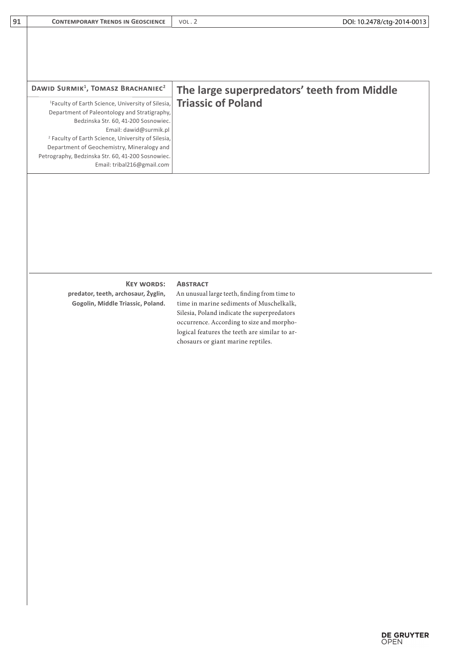| DAWID SURMIK <sup>1</sup> , TOMASZ BRACHANIEC <sup>2</sup>    | The large superpredators' teeth from Middle |
|---------------------------------------------------------------|---------------------------------------------|
| <sup>1</sup> Faculty of Earth Science, University of Silesia, | <b>Triassic of Poland</b>                   |
| Department of Paleontology and Stratigraphy,                  |                                             |
| Bedzinska Str. 60, 41-200 Sosnowiec.                          |                                             |
| Email: dawid@surmik.pl                                        |                                             |
| <sup>2</sup> Faculty of Earth Science, University of Silesia, |                                             |
| Department of Geochemistry, Mineralogy and                    |                                             |
| Petrography, Bedzinska Str. 60, 41-200 Sosnowiec.             |                                             |
| Email: tribal216@gmail.com                                    |                                             |

## **Key words: Abstract**

**predator, teeth, archosaur, Żyglin, Gogolin, Middle Triassic, Poland.** 

**91 CONTEMPORARY TRENDS IN GEOSCIENCE** VOL. 2

An unusual large teeth, finding from time to

time in marine sediments of Muschelkalk, Silesia, Poland indicate the superpredators occurrence. According to size and morphological features the teeth are similar to archosaurs or giant marine reptiles.

DOI: 10.2478/ctg-2014-0013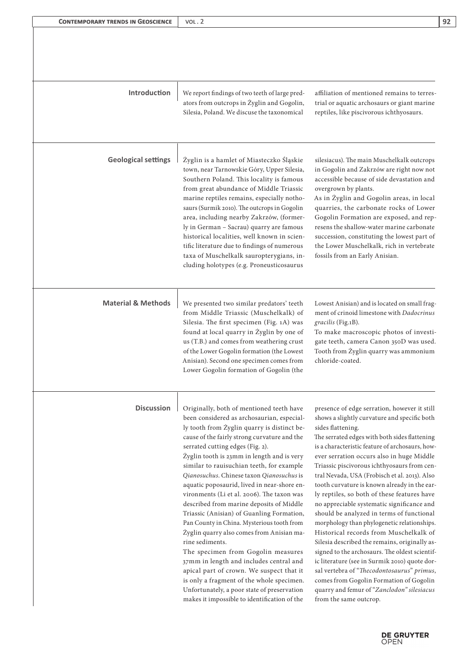| <b>Introduction</b>           | We report findings of two teeth of large pred-<br>ators from outcrops in Żyglin and Gogolin,<br>Silesia, Poland. We discuse the taxonomical                                                                                                                                                                                                                                                                                                                                                                                                                                                                                                                                                                                                                                                                                                                                                                                                    | affiliation of mentioned remains to terres-<br>trial or aquatic archosaurs or giant marine<br>reptiles, like piscivorous ichthyosaurs.                                                                                                                                                                                                                                                                                                                                                                                                                                                                                                                                                                                                                                                                                                                                                                                                                                     |
|-------------------------------|------------------------------------------------------------------------------------------------------------------------------------------------------------------------------------------------------------------------------------------------------------------------------------------------------------------------------------------------------------------------------------------------------------------------------------------------------------------------------------------------------------------------------------------------------------------------------------------------------------------------------------------------------------------------------------------------------------------------------------------------------------------------------------------------------------------------------------------------------------------------------------------------------------------------------------------------|----------------------------------------------------------------------------------------------------------------------------------------------------------------------------------------------------------------------------------------------------------------------------------------------------------------------------------------------------------------------------------------------------------------------------------------------------------------------------------------------------------------------------------------------------------------------------------------------------------------------------------------------------------------------------------------------------------------------------------------------------------------------------------------------------------------------------------------------------------------------------------------------------------------------------------------------------------------------------|
| <b>Geological settings</b>    | Żyglin is a hamlet of Miasteczko Śląskie<br>town, near Tarnowskie Góry, Upper Silesia,<br>Southern Poland. This locality is famous<br>from great abundance of Middle Triassic<br>marine reptiles remains, especially notho-<br>saurs (Surmik 2010). The outcrops in Gogolin<br>area, including nearby Zakrzów, (former-<br>ly in German - Sacrau) quarry are famous<br>historical localities, well known in scien-<br>tific literature due to findings of numerous<br>taxa of Muschelkalk sauropterygians, in-<br>cluding holotypes (e.g. Proneusticosaurus                                                                                                                                                                                                                                                                                                                                                                                    | silesiacus). The main Muschelkalk outcrops<br>in Gogolin and Zakrzów are right now not<br>accessible because of side devastation and<br>overgrown by plants.<br>As in Żyglin and Gogolin areas, in local<br>quarries, the carbonate rocks of Lower<br>Gogolin Formation are exposed, and rep-<br>resens the shallow-water marine carbonate<br>succession, constituting the lowest part of<br>the Lower Muschelkalk, rich in vertebrate<br>fossils from an Early Anisian.                                                                                                                                                                                                                                                                                                                                                                                                                                                                                                   |
| <b>Material &amp; Methods</b> | We presented two similar predators' teeth<br>from Middle Triassic (Muschelkalk) of<br>Silesia. The first specimen (Fig. 1A) was<br>found at local quarry in Żyglin by one of<br>us (T.B.) and comes from weathering crust<br>of the Lower Gogolin formation (the Lowest<br>Anisian). Second one specimen comes from<br>Lower Gogolin formation of Gogolin (the                                                                                                                                                                                                                                                                                                                                                                                                                                                                                                                                                                                 | Lowest Anisian) and is located on small frag-<br>ment of crinoid limestone with Dadocrinus<br>gracilis (Fig.1B).<br>To make macroscopic photos of investi-<br>gate teeth, camera Canon 350D was used.<br>Tooth from Żyglin quarry was ammonium<br>chloride-coated.                                                                                                                                                                                                                                                                                                                                                                                                                                                                                                                                                                                                                                                                                                         |
| <b>Discussion</b>             | Originally, both of mentioned teeth have<br>been considered as archosaurian, especial-<br>ly tooth from Żyglin quarry is distinct be-<br>cause of the fairly strong curvature and the<br>serrated cutting edges (Fig. 2).<br>Żyglin tooth is 23mm in length and is very<br>similar to rauisuchian teeth, for example<br>Qianosuchus. Chinese taxon Qianosuchus is<br>aquatic poposaurid, lived in near-shore en-<br>vironments (Li et al. 2006). The taxon was<br>described from marine deposits of Middle<br>Triassic (Anisian) of Guanling Formation,<br>Pan County in China. Mysterious tooth from<br>Żyglin quarry also comes from Anisian ma-<br>rine sediments.<br>The specimen from Gogolin measures<br>37mm in length and includes central and<br>apical part of crown. We suspect that it<br>is only a fragment of the whole specimen.<br>Unfortunately, a poor state of preservation<br>makes it impossible to identification of the | presence of edge serration, however it still<br>shows a slightly curvature and specific both<br>sides flattening.<br>The serrated edges with both sides flattening<br>is a characteristic feature of archosaurs, how-<br>ever serration occurs also in huge Middle<br>Triassic piscivorous ichthyosaurs from cen-<br>tral Nevada, USA (Frobisch et al. 2013). Also<br>tooth curvature is known already in the ear-<br>ly reptiles, so both of these features have<br>no appreciable systematic significance and<br>should be analyzed in terms of functional<br>morphology than phylogenetic relationships.<br>Historical records from Muschelkalk of<br>Silesia described the remains, originally as-<br>signed to the archosaurs. The oldest scientif-<br>ic literature (see in Surmik 2010) quote dor-<br>sal vertebra of "Thecodontosaurus" primus,<br>comes from Gogolin Formation of Gogolin<br>quarry and femur of "Zanclodon" silesiacus<br>from the same outcrop. |

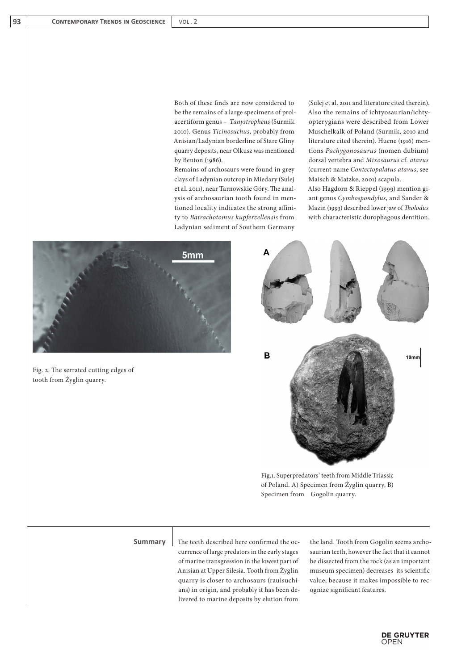Both of these finds are now considered to be the remains of a large specimens of prolacertiform genus – *Tanystropheus* (Surmik 2010). Genus *Ticinosuchus*, probably from Anisian/Ladynian borderline of Stare Gliny quarry deposits, near Olkusz was mentioned by Benton (1986).

Remains of archosaurs were found in grey clays of Ladynian outcrop in Miedary (Sulej et al. 2011), near Tarnowskie Góry. The analysis of archosaurian tooth found in mentioned locality indicates the strong affinity to *Batrachotomus kupferzellensis* from Ladynian sediment of Southern Germany

(Sulej et al. 2011 and literature cited therein). Also the remains of ichtyosaurian/ichtyopterygians were described from Lower Muschelkalk of Poland (Surmik, 2010 and literature cited therein). Huene (1916) mentions *Pachygonosaurus* (nomen dubium) dorsal vertebra and *Mixosaurus* cf. *atavus*  (current name *Contectopalatus atavus*, see Maisch & Matzke, 2001) scapula. Also Hagdorn & Rieppel (1999) mention giant genus *Cymbospondylus*, and Sander & Mazin (1993) described lower jaw of *Tholodus*  with characteristic durophagous dentition.



Fig. 2. The serrated cutting edges of tooth from Żyglin quarry.



Fig.1. Superpredators' teeth from Middle Triassic of Poland. A) Specimen from Żyglin quarry, B) Specimen from Gogolin quarry.

currence of large predators in the early stages of marine transgression in the lowest part of Anisian at Upper Silesia. Tooth from Żyglin quarry is closer to archosaurs (rauisuchians) in origin, and probably it has been delivered to marine deposits by elution from

**Summary** The teeth described here confirmed the oc- the land. Tooth from Gogolin seems archosaurian teeth, however the fact that it cannot be dissected from the rock (as an important museum specimen) decreases its scientific value, because it makes impossible to recognize significant features.